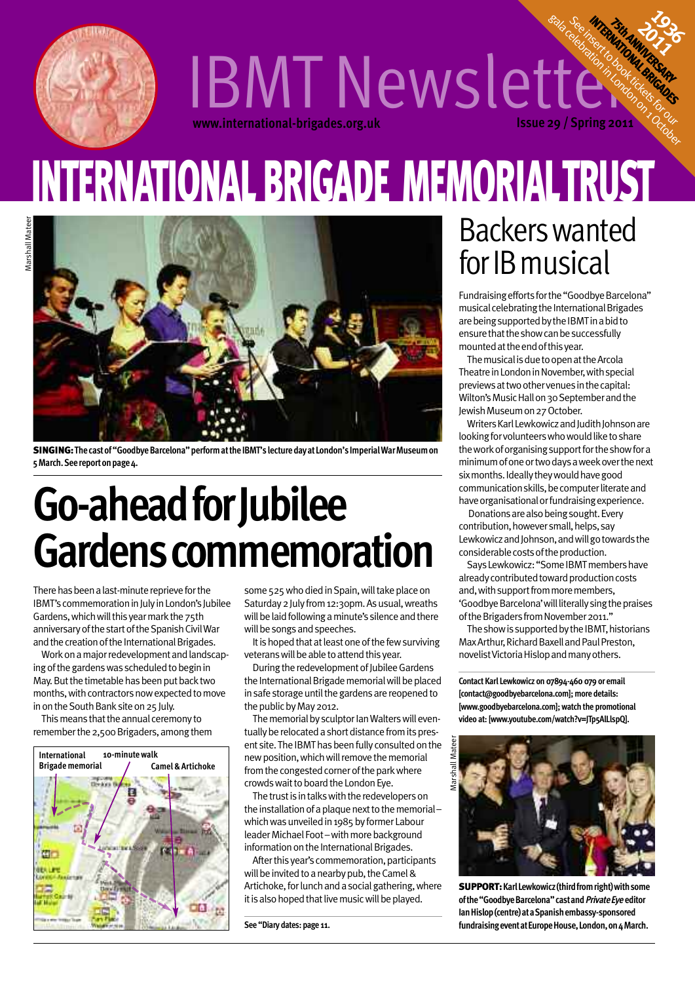

## **www.international-brigades.org.uk Issue 29 / Spring 2011** IBMT Newsletter Fish Annual D **INTERNATIONALISTS**

# **INTERNATIONAL BRIGADE MEMORIALTRUST**



**SINGING:Thecastof"GoodbyeBarcelona"performattheIBMT'slecturedayatLondon'sImperialWarMuseumon 5March.Seereportonpage4.**

# **Go-aheadforJubilee Gardenscommemoration**

There has been a last-minute reprieve for the IBMT's commemoration in July in London's Jubilee Gardens, which will this year mark the 75th anniversary of the start of the Spanish Civil War and the creation of the International Brigades.

Work on a major redevelopment and landscaping of the gardens was scheduled to begin in May. But the timetable has been put back two months, with contractors now expected to move in on the South Bank site on 25 July.

This means that the annual ceremony to remember the 2,500 Brigaders, among them



some 525 who died in Spain, will take place on Saturday 2 July from 12:30pm. As usual, wreaths will be laid following a minute's silence and there will be songs and speeches.

It is hoped that at least one of the few surviving veterans will be able to attend this year.

During the redevelopment of Jubilee Gardens the International Brigade memorial will be placed in safe storage until the gardens are reopened to the public by May 2012.

The memorial by sculptor Ian Walters will eventually be relocated a short distance from its present site. The IBMT has been fully consulted on the new position, which will remove the memorial from the congested corner of the park where crowds wait to board the London Eye.

The trust is in talks with the redevelopers on the installation of a plaque next to the memorialwhich was unveiled in 1985 by former Labour leader Michael Foot-with more background information on the International Brigades.

After this year's commemoration, participants will be invited to a nearby pub, the Camel & Artichoke, for lunch and a social gathering, where it is also hoped that live music will be played.

**See "Diary dates: page 11.**

## Backerswanted for IB musical

**1936** 

Fundraising efforts for the "Goodbye Barcelona" musical celebrating the International Brigades are being supported by the IBMT in a bid to ensure that the show can be successfully mounted at the end of this year.

The musical is due to open at the Arcola Theatre in London in November, with special previews at two other venues in the capital: Wilton's Music Hall on 30 September and the Jewish Museum on 27 October.

Writers Karl Lewkowicz and Judith Johnson are looking for volunteers who would like to share the work of organising support for the show for a minimumofoneortwodaysaweekoverthenext six months. Ideally they would have good communication skills, be computer literate and have organisational or fundraising experience.

Donations are also being sought. Every contribution, however small, helps, say Lewkowicz and Johnson, and will go towards the considerable costs of the production.

Says Lewkowicz: "Some IBMT members have already contributed toward production costs and, with support from more members, 'Goodbye Barcelona' will literally sing the praises of the Brigaders from November 2011."

The show is supported by the IBMT, historians Max Arthur, Richard Baxell and Paul Preston, novelist Victoria Hislop and many others.

**Contact Karl Lewkowicz on 07894-460 079 or email [contact@goodbyebarcelona.com]; more details: [www.goodbyebarcelona.com];watch the promotional video at: [www.youtube.com/watch?v=JTp5AlLlspQ].**



**SUPPORT:KarlLewkowicz(thirdfromright)withsome ofthe"GoodbyeBarcelona"castandPrivateEye editor IanHislop(centre)ataSpanishembassy-sponsored** fundraising event at Europe House, London, on 4 March.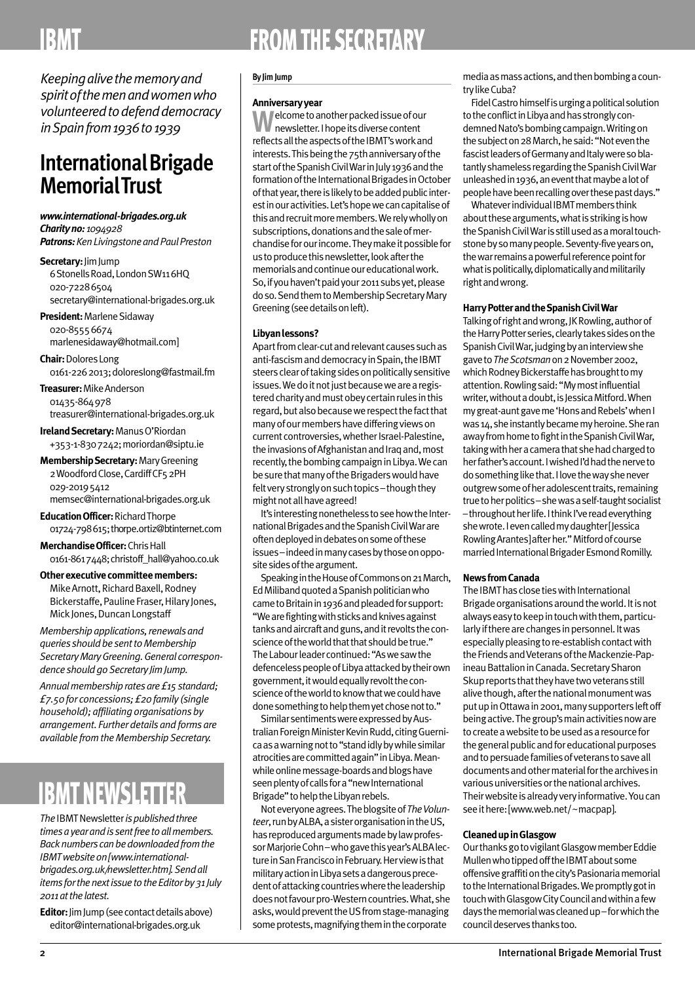## **FROM THE SECRETARY**

*Keepingalivethememoryand spiritofthemenandwomenwho volunteeredtodefenddemocracy inSpainfrom1936to1939*

## **InternationalBrigade MemorialTrust**

*www.international-brigades.org.uk Charityno: 1094928*

*Patrons:KenLivingstoneandPaulPreston*

**Secretary:**JimJump 6 Stonells Road, London SW116HQ 020-72286504 secretary@international-brigades.org.uk

**President: Marlene Sidaway** 020-85556674 marlenesidaway@hotmail.com]

**Chair:**DoloresLong 0161-2262013;doloreslong@fastmail.fm

**Treasurer:**MikeAnderson 01435-864978 treasurer@international-brigades.org.uk

**Ireland Secretary: Manus O'Riordan** +353-1-8307242;moriordan@siptu.ie

**MembershipSecretary:**MaryGreening 2 Woodford Close, Cardiff CF5 2PH 029-20195412 memsec@international-brigades.org.uk

**EducationOfficer:**RichardThorpe 01724-798615;thorpe.ortiz@btinternet.com

**MerchandiseOfficer:**ChrisHall 0161-8617448;christoff\_hall@yahoo.co.uk

**Other executive committee members:** Mike Arnott, Richard Baxell, Rodney Bickerstaffe, Pauline Fraser, Hilary Jones, Mick Jones, Duncan Longstaff

*Membershipapplications,renewals and*  $queries should be sent to Membership$ *SecretaryMaryGreening.General correspondence shouldgoSecretary JimJump.*

*Annualmembershiprates are£15standard; £7.50 for concessions;£20 family (single household); affiliatingorganisations by arrangement. Furtherdetails andforms are available fromtheMembershipSecretary.*

## **IBMT NEWSLETTER**

**The IBMT Newsletter is published three** *timesayearandis sentfreetoallmembers.* **Back numbers can be downloaded from the** *IBMTwebsiteon[www.internationalbrigades.org.uk/newsletter.htm].Sendall items forthenextissuetotheEditorby31 July 2011atthelatest.*

**Editor:** Jim Jump (see contact details above) editor@international-brigades.org.uk

#### **By JimJump**

#### **Anniversaryyear**

**Welcome to another packed issue of our** newsletter. I hope its diverse content reflects all the aspects of the IBMT's work and interests. This being the 75th anniversary of the start of the Spanish Civil War in July 1936 and the formation of the International Brigades in October of that year, there is likely to be added public interestinouractivities.Let'shopewecancapitaliseof this and recruit more members. We rely wholly on subscriptions, donations and the sale of merchandise for our income. They make it possible for us to produce this newsletter, look after the memorials and continue our educational work. So, if you haven't paid your 2011 subs yet, please do so. Send them to Membership Secretary Mary Greening(seedetailsonleft).

#### **Libyanlessons?**

Apart from clear-cut and relevant causes such as anti-fascism and democracy in Spain, the IBMT steers clear of taking sides on politically sensitive issues. We do it not just because we are a registered charity and must obey certain rules in this regard, but also because we respect the fact that manyofourmembershavedifferingviewson current controversies, whether Israel-Palestine, the invasions of Afghanistan and Iraq and, most recently, the bombing campaign in Libya. We can be sure that many of the Brigaders would have felt very strongly on such topics-though they might not all have agreed!

It's interesting nonetheless to see how the International Brigades and the Spanish Civil War are often deployed in debates on some of these issues–indeedinmanycasesbythoseonopposite sides of the argument.

Speaking in the House of Commons on 21 March, EdMilibandquotedaSpanishpoliticianwho came to Britain in 1936 and pleaded for support: "We are fighting with sticks and knives against tanks and aircraft and guns, and it revolts the conscience of the world that that should be true." TheLabourleadercontinued:"Aswesawthe defenceless people of Libya attacked by their own government, it would equally revolt the conscience of the world to know that we could have done something to help them yet chose not to."

Similar sentiments were expressed by Australian Foreign Minister Kevin Rudd, citing Guernicaasawarningnotto"standidlybywhilesimilar atrocities are committed again" in Libya. Meanwhile online message-boards and blogs have seen plenty of calls for a "new International Brigade" to help the Libyan rebels.

Not everyone agrees. The blogsite of The Volunteer, run by ALBA, a sister organisation in the US, has reproduced arguments made by law professor Marjorie Cohn-who gave this year's ALBA lecture in San Francisco in February. Her view is that militaryactioninLibyasetsadangerousprecedent of attacking countries where the leadership does not favour pro-Western countries. What, she asks, would prevent the US from stage-managing some protests, magnifying them in the corporate

mediaasmassactions,andthenbombingacountrylikeCuba?

Fidel Castro himself is urging a political solution to the conflict in Libya and has strongly condemned Nato's bombing campaign. Writing on the subject on 28 March, he said: "Not even the fascist leaders of Germany and Italy were so blatantly shameless regarding the Spanish Civil War unleashed in 1936, an event that maybe a lot of people have been recalling over these past days."

Whatever individual IBMT members think about these arguments, what is striking is how the Spanish Civil War is still used as a moral touchstone by so many people. Seventy-five years on, the war remains a powerful reference point for what is politically, diplomatically and militarily right and wrong.

#### **Harry Potter and the Spanish Civil War**

Talking of right and wrong, JK Rowling, author of the Harry Potter series, clearly takes sides on the Spanish Civil War, judging by an interview she gaveto*TheScotsman*on2November2002, which Rodney Bickerstaffe has brought to my attention.Rowlingsaid:"Mymostinfluential writer, without a doubt, is Jessica Mitford. When my great-aunt gave me 'Hons and Rebels' when I was 14, she instantly became my heroine. She ran away from home to fight in the Spanish Civil War, taking with her a camera that she had charged to her father's account. I wished I'd had the nerve to do something like that. I love the way she never outgrew some of her adolescent traits, remaining true to her politics - she was a self-taught socialist -throughout her life. I think I've read everything shewrote.Ievencalledmydaughter[Jessica RowlingArantes]afterher."Mitfordofcourse married International Brigader Esmond Romilly.

#### **NewsfromCanada**

The IBMT has close ties with International Brigade organisations around the world. It is not alwayseasytokeepintouchwiththem,particularly if there are changes in personnel. It was especially pleasing to re-establish contact with the Friends and Veterans of the Mackenzie-Papineau Battalion in Canada. Secretary Sharon Skup reports that they have two veterans still alive though, after the national monument was put up in Ottawa in 2001, many supporters left off being active. The group's main activities now are to create a website to be used as a resource for the general public and for educational purposes and to persuade families of veterans to save all documentsandothermaterialforthearchivesin various universities or the national archives. Their website is already very informative. You can see it here: [www.web.net/~macpap].

#### **CleanedupinGlasgow**

Our thanks go to vigilant Glasgow member Eddie Mullen who tipped off the IBMT about some offensive graffiti on the city's Pasionaria memorial to the International Brigades. We promptly got in touch with Glasgow City Council and within a few days the memorial was cleaned up–for which the council deserves thanks too.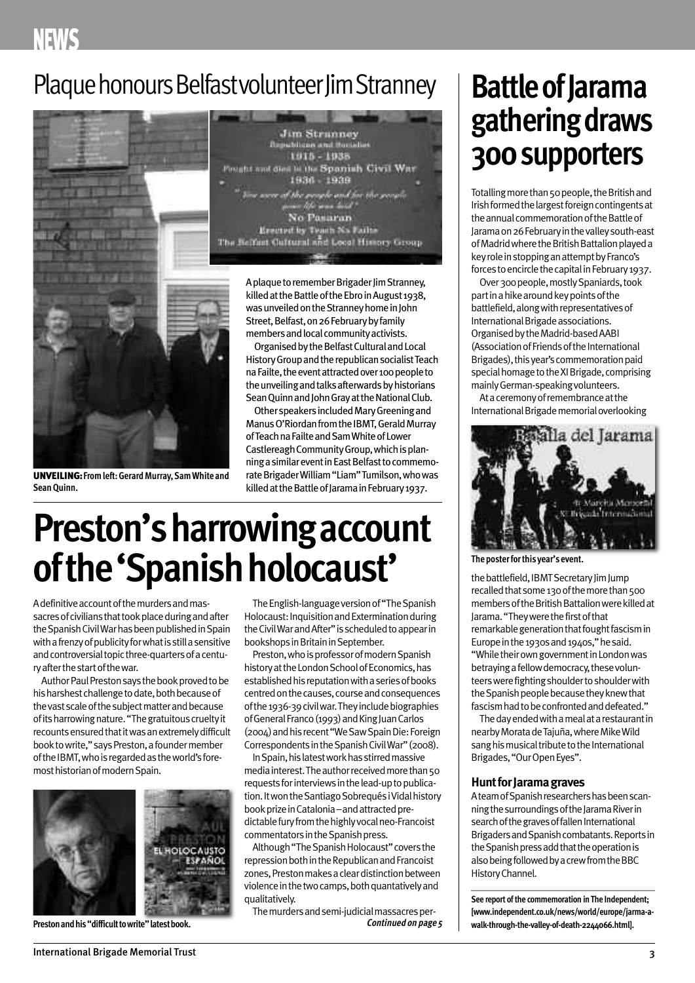## **NEWS**

## Plaque honours Belfast volunteer Jim Stranney | **Battle of Jarama**



**UNVEILING:Fromleft:GerardMurray,SamWhite and SeanQuinn.**

**Jim Strunney** dilican and flor 1915 - 1938 **In the Spanish Civil War** 1930 1939 No Pasaran Erected by Teach Na Failure<br>The Heifast Cultural and Local History Group

> A plaque to remember Brigader Jim Stranney, killed at the Battle of the Ebro in August 1938, was unveiled on the Stranney home in John Street, Belfast, on 26 February by family members and local community activists.

Organised by the Belfast Cultural and Local History Group and the republican socialist Teach na Failte, the event attracted over 100 people to the unveiling and talks afterwards by historians Sean Quinn and John Gray at the National Club.

Other speakers included Mary Greening and Manus O'Riordan from the IBMT, Gerald Murray of Teach na Failte and Sam White of Lower Castlereagh Community Group, which is planning a similar event in East Belfast to commemorateBrigaderWilliam"Liam"Tumilson,whowas killed at the Battle of Jarama in February 1937.

## **Preston's harrowing account** of the 'Spanish holocaust'

A definitive account of the murders and massacres of civilians that took place during and after the Spanish Civil War has been published in Spain with a frenzy of publicity for what is still a sensitive and controversial topic three-quarters of a centuryafterthestartofthewar.

Author Paul Preston says the book proved to be his harshest challenge to date, both because of the vast scale of the subject matter and because of its harrowing nature. "The gratuitous cruelty it recountsensuredthatitwasanextremelydifficult book to write," says Preston, a founder member of the IBMT, who is regarded as the world's foremosthistorianofmodernSpain.



The English-language version of "The Spanish Holocaust: Inquisition and Extermination during theCivilWarandAfter"isscheduledtoappearin bookshops in Britain in September.

Preston, who is professor of modern Spanish history at the London School of Economics, has established his reputation with a series of books centred on the causes, course and consequences of the 1936-39 civil war. They include biographies of General Franco (1993) and King Juan Carlos (2004) and his recent "We Saw Spain Die: Foreign Correspondents in the Spanish Civil War" (2008).

InSpain,hislatestworkhasstirredmassive media interest. The author received more than 50 requests for interviews in the lead-up to publication. It won the Santiago Sobrequés i Vidal history book prize in Catalonia – and attracted predictable fury from the highly vocal neo-Francoist commentators in the Spanish press.

Although "The Spanish Holocaust" covers the repression both in the Republican and Francoist zones, Preston makes a clear distinction between violence in the two camps, both quantatively and qualitatively.

The murders and semi-judicial massacres per-**Prestonandhis"difficulttowrite"latestbook. Continued on page <sup>5</sup>**

# **gatheringdraws 300supporters**

Totalling more than 50 people, the British and Irish formed the largest foreign contingents at the annual commemoration of the Battle of Jaramaon26Februaryinthevalleysouth-east of Madrid where the British Battalion played a key role in stopping an attempt by Franco's forces to encircle the capital in February 1937.

Over 300 people, mostly Spaniards, took part in a hike around key points of the battlefield, along with representatives of International Brigade associations. Organised by the Madrid-based AABI (Association of Friends of the International Brigades), this year's commemoration paid special homage to the XI Brigade, comprising mainlyGerman-speakingvolunteers.

At a ceremony of remembrance at the International Brigade memorial overlooking



**Theposterforthis year's event.**

the battlefield, IBMT Secretary Iim Jump recalled that some 130 of the more than 500 members of the British Battalion were killed at Jarama. "They were the first of that remarkable generation that fought fascism in Europe in the 1930s and 1940s," he said. "While their own government in London was betraying a fellow democracy, these volunteers were fighting shoulder to shoulder with the Spanish people because they knew that fascism had to be confronted and defeated."

The day ended with a meal at a restaurant in nearby Morata de Tajuña, where Mike Wild sang his musical tribute to the International Brigades,"OurOpenEyes".

#### **Hunt for Jarama graves**

Ateam of Spanish researchers has been scanning the surroundings of the Jarama River in search of the graves of fallen International Brigaders and Spanish combatants. Reports in the Spanish press add that the operation is also being followed by a crew from the BBC HistoryChannel.

**See report ofthe commemoration inThe Independent; [www.independent.co.uk/news/world/europe/jarma-awalk-through-the-valley-of-death-2244066.html].**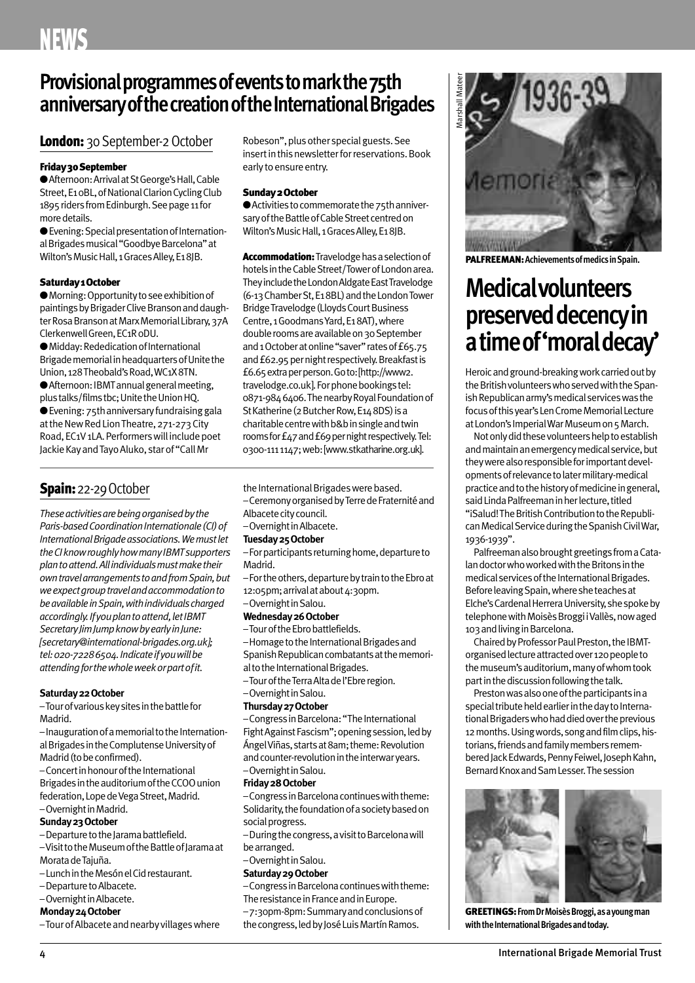### **Provisionalprogrammesofeventstomarkthe75th anniversaryofthecreationoftheInternationalBrigades**

### London: 30 September-2 October

#### **Friday30September**

● Afternoon: Arrival at St George's Hall, Cable Street, E10BL, of National Clarion Cycling Club 1895 riders from Edinburgh. See page 11 for more details.

**●**Evening:SpecialpresentationofInternational Brigades musical "Goodbye Barcelona" at Wilton's Music Hall, 1 Graces Alley, E18IB.

#### **Saturday1October**

● Morning: Opportunity to see exhibition of paintings by Brigader Clive Branson and daughter Rosa Branson at Marx Memorial Library, 37A ClerkenwellGreen,EC1R0DU.

● Midday: Rededication of International Brigade memorial in headquarters of Unite the Union, 128 Theobald's Road, WC1X8TN. ● Afternoon: IBMT annual general meeting, plus talks/films tbc; Unite the Union HQ. ● Evening: 75th anniversary fundraising gala at the New Red Lion Theatre, 271-273 City Road, EC1V 1LA. Performers will include poet Jackie Kay and Tayo Aluko, star of "Call Mr

### **Spain:**22-29October

*Theseactivitiesarebeingorganisedbythe Paris-basedCoordinationInternationale(CI)of InternationalBrigadeassociations.Wemustlet theCIknowroughlyhowmanyIBMTsupporters plantoattend.Allindividualsmustmaketheir owntravelarrangementstoandfromSpain,but weexpectgrouptravelandaccommodationto beavailableinSpain,withindividualscharged accordingly.Ifyouplantoattend,letIBMT SecretaryJimJumpknowbyearlyinJune: [secretary@international-brigades.org.uk]; tel:020-72286504.Indicateifyouwillbe attendingforthewholeweekorpartofit.*

#### Saturday 22 October

–Tourofvariouskeysitesinthebattlefor Madrid.

-Inauguration of a memorial to the International Brigades in the Complutense University of Madrid(tobeconfirmed).

– Concert in honour of the International Brigades in the auditorium of the CCOO union federation, Lope de Vega Street, Madrid. -Overnight in Madrid.

- 
- Sunday 23 October -Departure to the Jarama battlefield.

–VisittotheMuseumoftheBattleofJaramaat Morata de Tajuña.

- –LunchintheMesónelCidrestaurant.
- Departure to Albacete.
- Overnight in Albacete.

#### **Monday24October**

–TourofAlbaceteandnearbyvillageswhere

Robeson", plus other special guests. See insert in this newsletter for reservations. Book early to ensure entry.

#### **Sunday2October**

● Activities to commemorate the 75th anniversary of the Battle of Cable Street centred on Wilton's Music Hall, 1 Graces Alley, E18JB.

**Accommodation:** Travelodge has a selection of hotels in the Cable Street/Tower of London area. They include the London Aldgate East Travelodge (6-13ChamberSt,E18BL)andtheLondonTower Bridge Travelodge (Lloyds Court Business Centre,1GoodmansYard,E18AT),where double rooms are available on 30 September and 1 October at online "saver" rates of £65.75 and £62.95 per night respectively. Breakfast is £6.65extraperperson.Goto:[http://www2. travelodge.co.uk]. For phone bookings tel: 0871-9846406.ThenearbyRoyalFoundationof St Katherine (2 Butcher Row, E14 8DS) is a charitable centre with b&b in single and twin rooms for £47 and £69 per night respectively. Tel: 0300-1111147;web:[www.stkatharine.org.uk].

the International Brigades were based. –CeremonyorganisedbyTerredeFraternitéand

- Albacete city council.
- –OvernightinAlbacete.

#### **Tuesday25October**

- For participants returning home, departure to Madrid.
- –Fortheothers,departurebytraintotheEbroat 12:05pm; arrival at about 4:30pm.
- –OvernightinSalou.

#### **Wednesday26October**

–TouroftheEbrobattlefields.

-Homage to the International Brigades and Spanish Republican combatants at the memorial to the International Brigades.

- –TouroftheTerraAltadel'Ebreregion.
- –OvernightinSalou.

#### **Thursday27October**

-Congress in Barcelona: "The International Fight Against Fascism"; opening session, led by Ángel Viñas, starts at 8am; theme: Revolution and counter-revolution in the interwar years. –OvernightinSalou.

#### **Friday28October**

–CongressinBarcelonacontinueswiththeme: Solidarity, the foundation of a society based on social progress.

–Duringthecongress,avisittoBarcelonawill bearranged.

### –OvernightinSalou.

#### **Saturday29October**

–CongressinBarcelonacontinueswiththeme: The resistance in France and in Europe.

–7:30pm-8pm:Summaryandconclusionsof the congress, led by José Luis Martín Ramos.



**PALFREEMAN:AchievementsofmedicsinSpain.**

## **Medicalvolunteers preserved decency in atimeof'moraldecay'**

Heroic and ground-breaking work carried out by the British volunteers who served with the Spanish Republican army's medical services was the focus of this year's Len Crome Memorial Lecture at London's Imperial War Museum on 5 March.

Not only did these volunteers help to establish and maintain an emergency medical service, but they were also responsible for important developments of relevance to later military-medical practice and to the history of medicine in general, said Linda Palfreeman in her lecture, titled "iSalud! The British Contribution to the Republican Medical Service during the Spanish Civil War, 1936-1939".

Palfreeman also brought greetings from a Catalan doctor who worked with the Britons in the medical services of the International Brigades. Before leaving Spain, where she teaches at Elche's Cardenal Herrera University, she spoke by telephone with Moisès Broggi i Vallès, now aged 103 and living in Barcelona.

Chaired by Professor Paul Preston, the IBMTorganised lecture attracted over 120 people to the museum's auditorium, many of whom took part in the discussion following the talk.

Preston was also one of the participants in a special tribute held earlier in the day to International Brigaders who had died over the previous 12 months. Using words, song and film clips, historians, friends and family members remembered Jack Edwards, Penny Feiwel, Joseph Kahn, Bernard Knox and Sam Lesser. The session



**GREETINGS:FromDrMoisèsBroggi,asayoungman** with the International Brigades and today.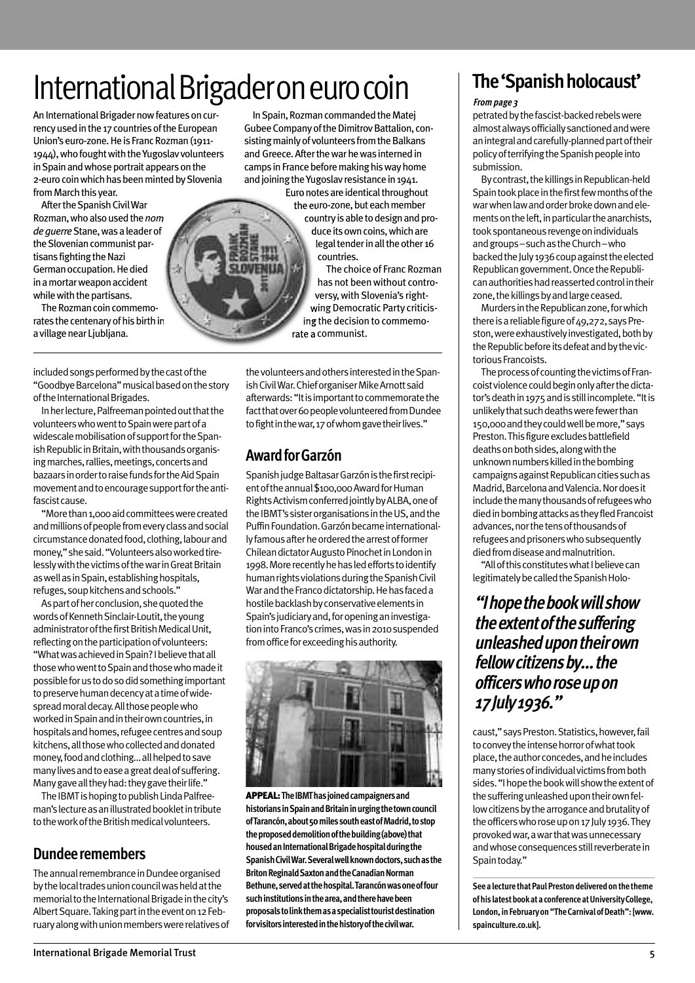## International Brigader on euro coin

An International Brigader now features on currency used in the 17 countries of the European Union's euro-zone. He is Franc Rozman (1911-1944), who fought with the Yugoslav volunteers in Spain and whose portrait appears on the 2-euro coin which has been minted by Slovenia from March this year.

After the Spanish Civil War Rozman,whoalsousedthe*nom deguerre*Stane,wasaleaderof the Slovenian communist partisans fighting the Nazi German occupation. He died inamortarweaponaccident while with the partisans.

The Rozman coin commemorates the centenary of his birth in a village near Ljubljana.

included songs performed by the cast of the "GoodbyeBarcelona"musicalbasedonthestory of the International Brigades.

In her lecture, Palfreeman pointed out that the volunteers who went to Spain were part of a widescale mobilisation of support for the Spanish Republic in Britain, with thousands organising marches, rallies, meetings, concerts and bazaars in order to raise funds for the Aid Spain movement and to encourage support for the antifascist cause.

"More than 1,000 aid committees were created and millions of people from every class and social circumstance donated food, clothing, labour and money," she said. "Volunteers also worked tirelessly with the victims of the war in Great Britain as well as in Spain, establishing hospitals, refuges, soup kitchens and schools."

As part of her conclusion, she quoted the words of Kenneth Sinclair-Loutit, the young administrator of the first British Medical Unit, reflecting on the participation of volunteers: "WhatwasachievedinSpain?Ibelievethatall those who went to Spain and those who made it possible for us to do so did something important to preserve human decency at a time of widespread moral decay. All those people who worked in Spain and in their own countries, in hospitals and homes, refugee centres and soup kitchens, all those who collected and donated money, food and clothing... all helped to save many lives and to ease a great deal of suffering. Many gave all they had: they gave their life."

The IBMT is hoping to publish Linda Palfreeman's lecture as an illustrated booklet in tribute to the work of the British medical volunteers.

### **Dundeeremembers**

The annual remembrance in Dundee organised by the local trades union council was held at the memorial to the International Brigade in the city's Albert Square. Taking part in the event on 12 February along with union members were relatives of

In Spain, Rozman commanded the Matei Gubee Company of the Dimitrov Battalion, consisting mainly of volunteers from the Balkans and Greece. After the war he was interned in camps in France before making his way home and joining the Yugoslav resistance in 1941.

Euro notes are identical throughout the euro-zone, but each member country is able to design and produce its own coins, which are legal tender in all the other 16 countries.

The choice of Franc Rozman has not been without controversy, with Slovenia's rightwing Democratic Party criticising the decision to commemorate a communist.

thevolunteersandothersinterestedintheSpanish Civil War. Chief organiser Mike Arnott said afterwards: "It is important to commemorate the fact that over 60 people volunteered from Dundee to fight in the war, 17 of whom gave their lives."

### **AwardforGarzón**

Spanish judge Baltasar Garzón is the first recipient of the annual \$100,000 Award for Human RightsActivismconferredjointlybyALBA,oneof the IBMT's sister organisations in the US, and the Puffin Foundation. Garzón became internationallyfamousafterheorderedthearrestofformer Chilean dictator Augusto Pinochet in London in 1998. More recently he has led efforts to identify human rights violations during the Spanish Civil War and the Franco dictatorship. He has faced a hostile backlash by conservative elements in Spain's judiciary and, for opening an investigation into Franco's crimes, was in 2010 suspended from office for exceeding his authority.



**APPEAL:TheIBMThasjoinedcampaignersand historiansinSpainandBritaininurgingthetowncouncil** of Tarancón, about 50 miles south east of Madrid, to stop **theproposeddemolitionofthebuilding(above)that housedanInternationalBrigadehospitalduringthe SpanishCivilWar.Severalwellknowndoctors,suchasthe BritonReginaldSaxtonandtheCanadianNorman Bethune,servedatthehospital.Tarancónwasoneoffour suchinstitutionsinthearea,andtherehavebeen proposalstolinkthemasaspecialisttouristdestination forvisitorsinterestedinthehistoryofthecivilwar.**

## **The 'Spanish holocaust'**

#### **Frompage 3**

petrated by the fascist-backed rebels were almostalwaysofficiallysanctionedandwere an integral and carefully-planned part of their policyofterrifyingtheSpanishpeopleinto submission.

By contrast, the killings in Republican-held Spain took place in the first few months of the war when law and order broke down and elements on the left, in particular the anarchists. took spontaneous revenge on individuals andgroups–suchastheChurch–who backed the July 1936 coup against the elected Republican government. Once the Republican authorities had reasserted control in their zone, the killings by and large ceased.

Murders in the Republican zone, for which there is a reliable figure of 49,272, says Preston, were exhaustively investigated, both by the Republic before its defeat and by the victorious Francoists.

The process of counting the victims of Francoist violence could begin only after the dictator's death in 1975 and is still incomplete. "It is unlikely that such deaths were fewer than 150,000andtheycouldwellbemore,"says Preston. This figure excludes battlefield deaths on both sides, along with the unknown numbers killed in the bombing campaigns against Republican cities such as Madrid, Barcelona and Valencia. Nor does it include the many thousands of refugees who died in bombing attacks as they fled Francoist advances, nor the tens of thousands of refugees and prisoners who subsequently died from disease and malnutrition.

"All of this constitutes what I believe can legitimately be called the Spanish Holo-

### **"Ihopethebookwillshow theextentofthesuffering unleashedupontheirown fellowcitizensby…the officerswhoroseupon 17July1936."**

caust,"saysPreston.Statistics,however,fail to convey the intense horror of what took place, the author concedes, and he includes many stories of individual victims from both sides. "I hope the book will show the extent of the suffering unleashed upon their own fellow citizens by the arrogance and brutality of the officers who rose up on 17 July 1936. They provokedwar,awarthatwasunnecessary and whose consequences still reverberate in Spaintoday."

**Seealecture thatPaulPrestondeliveredonthetheme ofhis latestbookataconferenceatUniversityCollege, London,inFebruaryon"TheCarnivalofDeath":[www. spainculture.co.uk].**

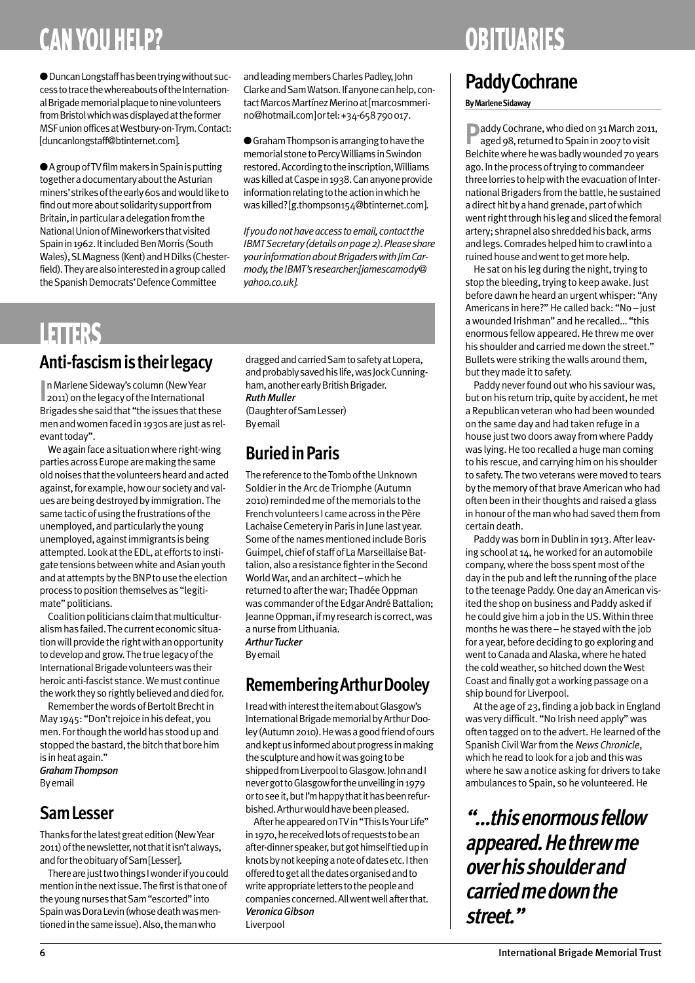## **CAN YOU HELP?**

**●**DuncanLongstaffhasbeentryingwithoutsuccess to trace the whereabouts of the International Brigade memorial plaque to nine volunteers from Bristol which was displayed at the former MSFunionofficesatWestbury-on-Trym.Contact: [duncanlongstaff@btinternet.com].

● A group of TV film makers in Spain is putting together a documentary about the Asturian miners' strikes of the early 60s and would like to find out more about solidarity support from Britain, in particular a delegation from the NationalUnionofMineworkersthatvisited Spain in 1962. It included Ben Morris (South Wales),SLMagness(Kent)andHDilks(Chesterfield). They are also interested in a group called the Spanish Democrats' Defence Committee

and leading members Charles Padley, John Clarke and Sam Watson. If anyone can help, contact Marcos Martínez Merino at [marcosmmerino@hotmail.com]ortel:+34-658790017.

**●**GrahamThompsonisarrangingtohavethe memorial stone to Percy Williams in Swindon restored. According to the inscription, Williams was killed at Caspe in 1938. Can anyone provide information relating to the action in which he waskilled?[g.thompson154@btinternet.com].

*Ifyoudonothaveaccesstoemail,contactthe IBMT Secretary (details on page 2). Please share yourinformationaboutBrigaderswithJimCarmody,theIBMT'sresearcher:[jamescamody@ yahoo.co.uk].*

## **LETTERS**

### **Anti-fascismistheirlegacy**

**In Marlene Sideway's column (New Year 2011) on the legacy of the International**  $\mathbb{I}$  2011) on the legacy of the International Brigades she said that "the issues that these men and women faced in 1930s are just as relevant today".

We again face a situation where right-wing parties across Europe are making the same old noises that the volunteers heard and acted against, for example, how our society and values are being destroyed by immigration. The same tactic of using the frustrations of the unemployed, and particularly the young unemployed, against immigrants is being attempted. Look at the EDL, at efforts to instigate tensions between white and Asian youth and at attempts by the BNP to use the election process to position themselves as "legitimate" politicians.

Coalition politicians claim that multiculturalism has failed. The current economic situation will provide the right with an opportunity to develop and grow. The true legacy of the InternationalBrigadevolunteerswas their heroicanti-fascist stance.Wemust continue the work they so rightly believed and died for.

Remember the words of Bertolt Brecht in May 1945: "Don't rejoice in his defeat, you men. For though the world has stood up and stopped the bastard, the bitch that bore him is inheatagain." *GrahamThompson*

Byemail

### **SamLesser**

Thanks for the latest great edition (New Year 2011) of the newsletter, not that it isn't always, and for the obituary of Sam [Lesser].

There are just two things I wonder if you could mention in the next issue. The first is that one of the young nurses that Sam "escorted" into Spain was Dora Levin (whose death was mentioned in the same issue). Also, the man who

dragged and carried Sam to safety at Lopera, and probably saved his life, was Jock Cunningham, another early British Brigader. *RuthMuller* (DaughterofSamLesser) Byemail

## **BuriedinParis**

The reference to the Tomb of the Unknown Soldier in the Arc de Triomphe (Autumn 2010) reminded me of the memorials to the Frenchvolunteers I cameacross inthePère Lachaise Cemetery in Paris in June last year. Some of the names mentioned include Boris Guimpel, chief of staff of La Marseillaise Battalion, also a resistance fighter in the Second World War, and an architect-which he returned to after the war; Thadée Oppman was commander of the Edgar André Battalion; Jeanne Oppman, if my research is correct, was a nurse from Lithuania. *ArthurTucker*

Byemail

### **Remembering Arthur Dooley**

I read with interest the item about Glasgow's International Brigade memorial by Arthur Dooley (Autumn 2010). He was a good friend of ours and kept us informed about progress in making the sculpture and how it was going to be shipped from Liverpool to Glasgow. John and I never got to Glasgow for the unveiling in 1979 orto see it, but I'm happy that it has been refurbished. Arthur would have been pleased.

After he appeared on TV in "This Is Your Life" in 1970, he received lots of requests to be an after-dinner speaker, but got himself tied up in knots by not keeping a note of dates etc. I then offered to get all the dates organised and to write appropriate letters to the people and companies concerned. All went well after that. *VeronicaGibson* Liverpool

## **OBITUARIES**

## **PaddyCochrane**

### **ByMarleneSidaway**

**P**addy Cochrane, who died on 31 March 2011, aged 98, returned to Spain in 2007 to visit Belchite where he was badly wounded 70 years ago. In the process of trying to commandeer three lorries to help with the evacuation of International Brigaders from the battle, he sustained a direct hit by a hand grenade, part of which went right through his leg and sliced the femoral artery; shrapnel also shredded his back, arms and legs. Comrades helped him to crawl into a ruined house and went to get more help.

He sat on his leg during the night, trying to stop the bleeding, trying to keep awake. Just before dawn he heard an urgent whisper: "Any Americans in here?"He called back: "No – just awounded Irishman" and he recalled…"this enormous fellowappeared.He threwme over his shoulder and carried me down the street." Bullets were striking the walls around them, but they made it to safety.

Paddy never found out who his saviour was, but on his return trip, quite by accident, hemet aRepublican veteranwho had beenwounded on the same day and had taken refuge in a house just two doors away from where Paddy was lying. He too recalled a huge man coming to his rescue, and carrying himon his shoulder to safety. The two veterans were moved to tears by the memory of that brave American who had often been in their thoughts and raised a glass in honour of the man who had saved them from certain death.

Paddy was born in Dublin in 1913. After leaving school at 14, heworked for an automobile company, where the boss spent most of the day in the pub and left the running of the place to the teenage Paddy. One day an American visited the shop on business and Paddy asked if he could give him a job in the US. Within three months he was there – he stayed with the job for a year, before deciding to go exploring and went to Canada and Alaska, where he hated the cold weather, so hitched down the West Coast and finally got aworking passage on a ship bound for Liverpool.

At the age of 23, finding a job back in England was very difficult. "No Irish need apply" was often tagged on to the advert. He learned of the Spanish CivilWarfromthe*News Chronicle*, which he read to look for a job and this was where he sawa notice asking for drivers to take ambulances to Spain, so he volunteered.He

**"…thisenormousfellow appeared.Hethrewme overhisshoulderand carriedmedownthe street."**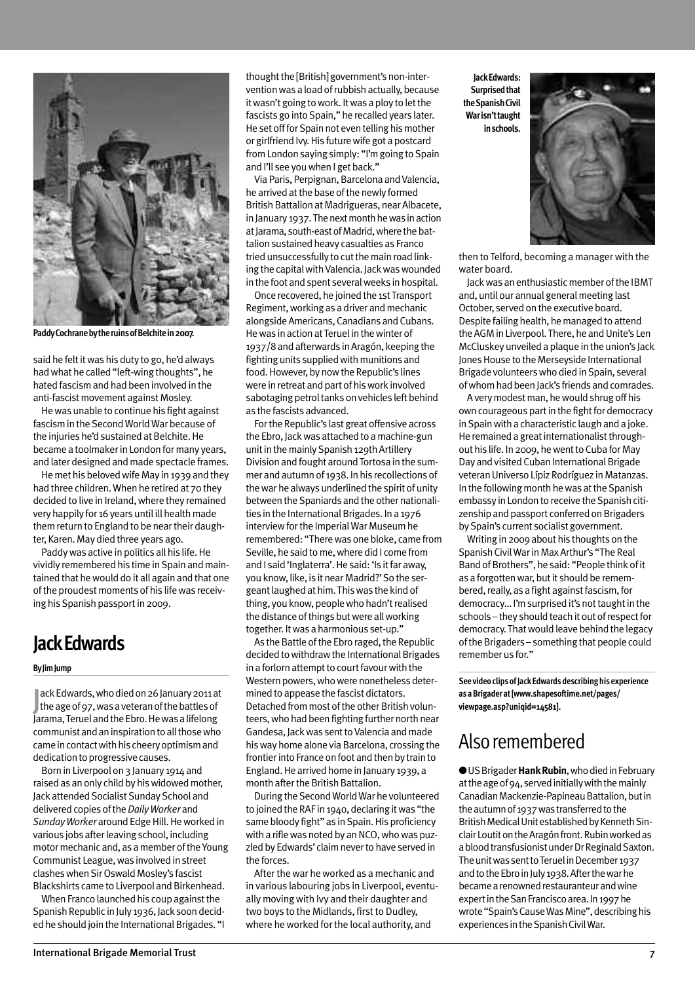

Paddy Cochrane by the ruins of Belchite in 2007.

said he felt it was his duty to go, he'd always hadwhat he called "left-wing thoughts", he hated fascismand had been involved in the anti-fascist movement against Mosley.

Hewas unable to continue his fight against fascismin the SecondWorldWar because of the injuries he'd sustained at Belchite. He became a toolmaker in London for many years, and later designed and made spectacle frames.

He met his beloved wife May in 1939 and they had three children.When he retired at 70 they decided to live in Ireland,where they remained very happily for 16 years until ill healthmade themreturn to England to be neartheir daughter, Karen. May died three years ago.

Paddywas active in politics all his life.He vividly remembered his time in Spain and maintained that hewould do it all again and that one of the proudest moments of his life was receiving his Spanish passport in 2009.

### **JackEdwards**

#### **ByJimJump**

ack Edwards, who died on 26 January 2011<br>the age of 97, was a veteran of the battles of ack Edwards, who died on 26 January 2011 at Jarama, Teruel and the Ebro. He was a lifelong communistandaninspirationtoallthosewho came in contact with his cheery optimism and dedication to progressive causes.

Born in Liverpool on 3 January 1914 and raised as an only child by his widowed mother, Jack attended Socialist Sunday School and delivered copies ofthe*DailyWorker* and Sunday Worker around Edge Hill. He worked in various jobs after leaving school, including motormechanic and, as amember oftheYoung Communist League, was involved in street clashes when Sir Oswald Mosley's fascist Blackshirts came to Liverpool and Birkenhead.

When Franco launched his coup against the Spanish Republic in July 1936, Jack soon decided he should join the International Brigades. "I

Via Paris, Perpignan, Barcelona and Valencia, he arrived at the base of the newly formed British Battalion at Madrigueras, near Albacete, in January 1937. The next month he was in action at Jarama, south-east of Madrid, where the battalion sustained heavy casualties as Franco tried unsuccessfully to cut the main road linking the capital with Valencia. Jack was wounded in the foot and spent severalweeks in hospital.

Once recovered, he joined the 1st Transport Regiment, working as a driver and mechanic alongsideAmericans,Canadians and Cubans. He was in action at Teruel in the winter of 1937/8 and afterwards inAragón, keeping the fighting units supplied with munitions and food. However, by now the Republic's lines were in retreat and part of hiswork involved sabotaging petrol tanks on vehicles left behind as the fascists advanced.

For the Republic's last great offensive across the Ebro, Jackwas attached to amachine-gun unit in the mainly Spanish 129th Artillery Division and fought around Tortosa in the summer and autumn of 1938. In his recollections of thewar he always underlined the spirit of unity between the Spaniards and the other nationalities in the International Brigades. In a 1976 interview for the Imperial War Museum he remembered: "There was one bloke, came from Seville, he said to me, where did I come from and I said 'Inglaterra'. He said: 'Is it far away, you know, like, is it near Madrid?' So the sergeantlaughed at him.Thiswas the kind of thing, you know, people who hadn't realised the distance of things but were all working together. Itwas a harmonious set-up."

As the Battle of the Ebro raged, the Republic decided to withdraw the International Brigades in a forlorn attempt to court favour with the Western powers, who were nonetheless determined to appease the fascist dictators. Detached from most of the other British volunteers,who had been fighting further north near Gandesa, Jack was sent to Valencia and made his way home alone via Barcelona, crossing the frontier into France on foot and then by train to England.He arrived home in January 1939, a month after the British Battalion.

During the Second World War he volunteered to joined theRAF in 1940, declaring itwas "the same bloody fight" as in Spain. His proficiency with a rifle was noted by an NCO, who was puzzled by Edwards' claim never to have served in the forces.

After the war he worked as a mechanic and in various labouring jobs in Liverpool, eventually moving with Ivy and their daughter and two boys to the Midlands, first to Dudley, where heworked forthe local authority, and

**JackEdwards: Surprised that theSpanishCivil Warisn'ttaught inschools.**



then to Telford, becoming a managerwith the water board.

Jack was an enthusiastic member of the IBMT and, until our annual general meeting last October, served on the executive board. Despite failing health, hemanaged to attend the AGM in Liverpool. There, he and Unite's Len McCluskey unveiled a plaque in the union's Jack Jones House to the Merseyside International Brigade volunteerswho died inSpain, several ofwhomhad been Jack's friends and comrades.

Averymodestman, hewould shrug off his own courageous part in the fight for democracy in Spain with a characteristic laugh and a joke. He remained a great internationalist throughout his life. In 2009, he went to Cuba for May Day and visited Cuban International Brigade veteran Universo Lípiz Rodríguez in Matanzas. In the following month he was at the Spanish embassy in London to receive the Spanish citizenship and passport conferred on Brigaders by Spain's current socialist government.

Writing in 2009 about his thoughts on the Spanish Civil War in Max Arthur's "The Real Band of Brothers", he said: "People think of it as a forgotten war, but it should be remembered, really, as a fight against fascism, for democracy... I'm surprised it's not taught in the schools – they should teach it out of respect for democracy. That would leave behind the legacy of the Brigaders – something that people could remember us for."

**SeevideoclipsofJackEdwardsdescribinghisexperience asaBrigaderat[www.shapesoftime.net/pages/ viewpage.asp?uniqid=14581].**

### Alsoremembered

**●**USBrigader**HankRubin**,whodiedinFebruary at the age of 94, served initially with the mainly Canadian Mackenzie-Papineau Battalion, but in the autumn of 1937 was transferred to the British Medical Unit established by Kenneth Sinclair Loutit on the Aragón front. Rubin worked as a blood transfusionist under Dr Reginald Saxton. The unit was sent to Teruel in December 1937 and to the Ebro in July 1938. After the war he became a renowned restauranteur and wine expert in the San Francisco area. In 1997 he wrote "Spain's Cause Was Mine", describing his experiences in the Spanish Civil War.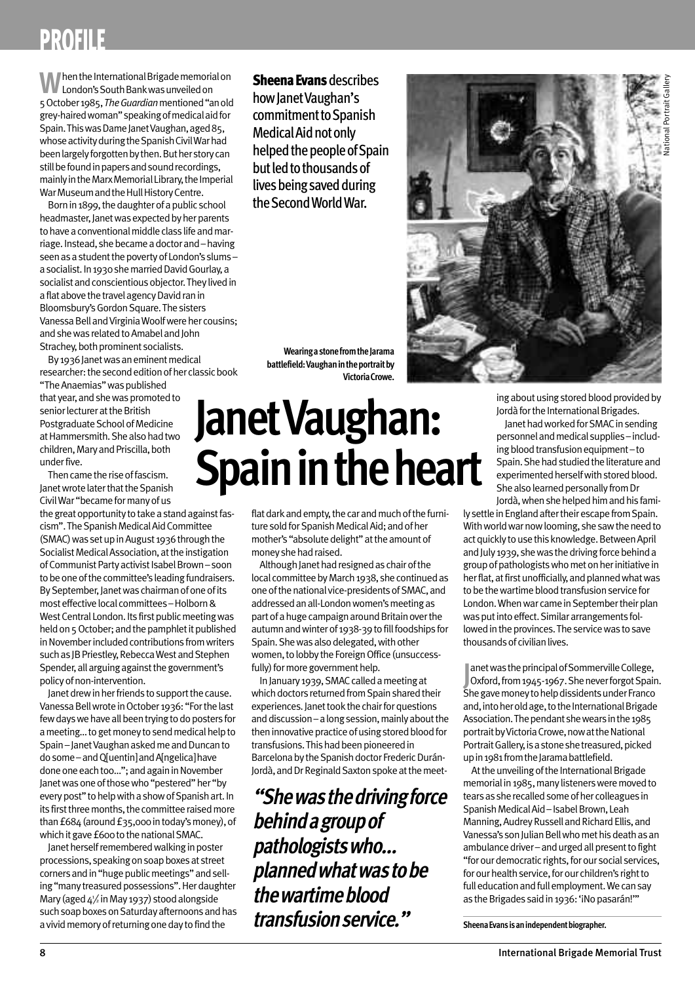## **PROFILE**

**When the International Brigade memorial on** London's South Bank was unveiled on 5October1985,*TheGuardian*mentioned"anold grey-hairedwoman"speakingofmedicalaidfor Spain. This was Dame Janet Vaughan, aged 85, whose activity during the Spanish Civil War had been largely forgotten by then. But her story can still be found in papers and sound recordings, mainly in the Marx Memorial Library, the Imperial War Museum and the Hull History Centre.

Born in 1899, the daughter of a public school headmaster, Janet was expected by her parents to have a conventional middle class life and marriage. Instead, she became a doctor and – having seen as a student the poverty of London's slumsa socialist. In 1930 she married David Gourlay, a socialist and conscientious objector. They lived in a flat above the travel agency David ran in Bloomsbury's Gordon Square. The sisters Vanessa Bell and Virginia Woolf were her cousins; and she was related to Amabel and John Strachey, both prominent socialists.

By 1936 Janet was an eminent medical researcher: the second edition of her classic book

"The Anaemias" was published that year, and she was promoted to senior lecturer at the British Postgraduate School of Medicine at Hammersmith. She also had two children, Mary and Priscilla, both underfive.

Then came the rise of fascism. Janet wrote later that the Spanish Civil War "became for many of us

the great opportunity to take a stand against fascism". The Spanish Medical Aid Committee (SMAC) was set up in August 1936 through the Socialist Medical Association, at the instigation of Communist Party activist Isabel Brown - soon to be one of the committee's leading fundraisers. By September, Janet was chairman of one of its mosteffectivelocal committees–Holborn& West Central London. Its first public meeting was held on 5 October; and the pamphlet it published in November included contributions from writers such as JB Priestley, Rebecca West and Stephen Spender, all arguing against the government's policyofnon-intervention.

Janet drew in her friends to support the cause. Vanessa Bell wrote in October 1936: "For the last few days we have all been trying to do posters for a meeting... to get money to send medical help to Spain–Janet Vaughan asked me and Duncan to dosome–andQ[uentin]andA[ngelica]have done one each too..."; and again in November Janet was one of those who "pestered" her "by every post" to help with a show of Spanish art. In its first three months, the committee raised more than £684 (around £35,000 in today's money), of which it gave £600 to the national SMAC.

Janet herself remembered walking in poster processions, speaking on soap boxes at street corners and in "huge public meetings" and selling "many treasured possessions". Her daughter Mary (aged  $\Delta^3/2$  in May 1937) stood alongside such soap boxes on Saturday afternoons and has a vivid memory of returning one day to find the

**Sheena Evans** describes how lanet Vaughan's commitment to Spanish Medical Aid not only helped the people of Spain but led to thousands of lives being saved during theSecondWorldWar.

**WearingastonefromtheJarama** battlefield: Vaughan in the portrait by **VictoriaCrowe.**

# **JanetVaughan: Spain in the heart**

flat dark and empty, the car and much of the furniture sold for Spanish Medical Aid; and of her mother's "absolute delight" at the amount of money she had raised.

Although Janet had resigned as chair of the local committee by March 1938, she continued as one of the national vice-presidents of SMAC, and addressed an all-London women's meeting as part of a huge campaign around Britain over the autumnandwinterof 1938-39tofillfoodships for Spain. She was also delegated, with other women, to lobby the Foreign Office (unsuccessfully) for more government help.

In January 1939, SMAC called a meeting at which doctors returned from Spain shared their experiences. Janet took the chair for questions and discussion – a long session, mainly about the then innovative practice of using stored blood for transfusions. This had been pioneered in Barcelona by the Spanish doctor Frederic Durán-Jordà, and Dr Reginald Saxton spoke at the meet-

**"Shewasthedrivingforce behindagroupof pathologistswho… plannedwhatwastobe thewartimeblood transfusionservice."**



ing about using stored blood provided by Jordà for the International Brigades.

Janet had worked for SMAC in sending personnelandmedical supplies–including blood transfusion equipment-to Spain. She had studied the literature and experimented herself with stored blood. She also learned personally from Dr

Jordà, when she helped him and his family settle in England after their escape from Spain. With world war now looming, she saw the need to act quickly to use this knowledge. Between April and July 1939, she was the driving force behind a group of pathologists who met on her initiative in her flat, at first unofficially, and planned what was to be the wartime blood transfusion service for London. When war came in September their plan was put into effect. Similar arrangements followed in the provinces. The service was to save thousands of civilian lives.

**Journance Was the principal of Sommerville College,<br>
Oxford, from 1945-1967. She never forgot Spain<br>
She gave monev to help dissidents under Franco** anet was the principal of Sommerville College, Oxford, from 1945-1967. She never forgot Spain. and, into her old age, to the International Brigade Association. The pendant she wears in the 1985 portrait by Victoria Crowe, now at the National Portrait Gallery, is a stone she treasured, picked up in 1981 from the Jarama battlefield.

At the unveiling of the International Brigade memorial in 1985, many listeners were moved to tears as she recalled some of her colleagues in Spanish Medical Aid-Isabel Brown, Leah Manning, Audrey Russell and Richard Ellis, and Vanessa's son Julian Bell who met his death as an ambulance driver–and urged all present to fight "for our democratic rights, for our social services, for our health service, for our children's right to full education and full employment. We can say as the Brigades said in 1936: 'iNo pasarán!'"

**SheenaEvansisanindependentbiographer.**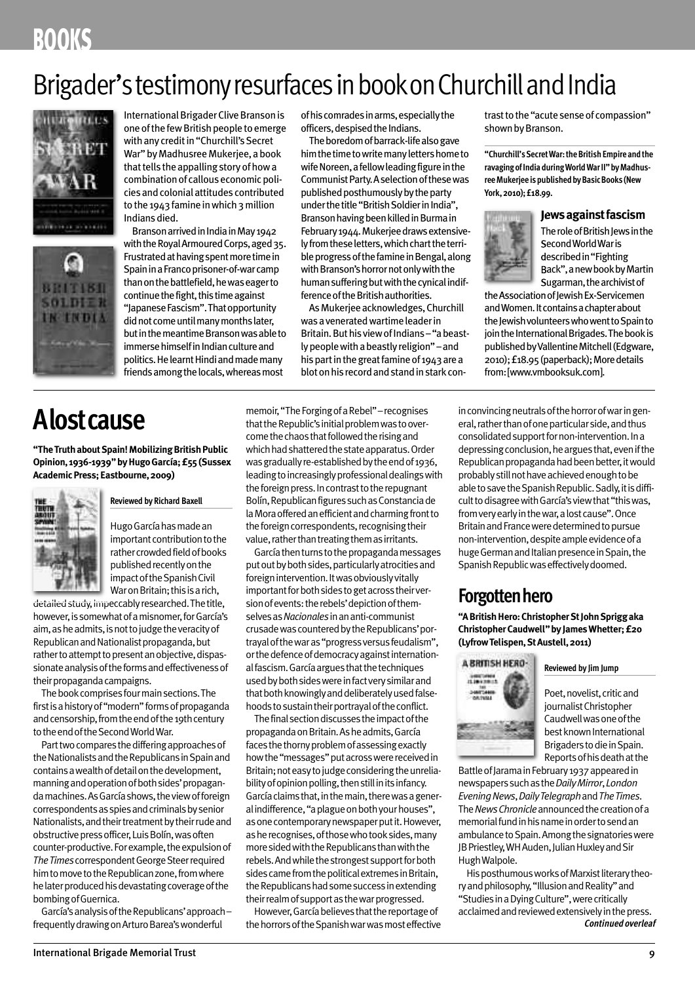## **BOOKS**

## Brigader's testimony resurfaces in book on Churchill and India



 $61DE$ **INGINDI** 

International Brigader Clive Branson is one of the few British people to emerge with any credit in "Churchill's Secret War" by Madhusree Mukerjee, a book that tells the appalling story of how a combination of callous economic policiesandcolonialattitudes contributed to the 1943 famine in which 3 million Indiansdied.

Branson arrived in India in May 1942 with the Royal Armoured Corps, aged 35. Frustrated at having spent more time in Spain in a Franco prisoner-of-war camp than on the battlefield, he was eager to continue the fight, this time against "Japanese Fascism". That opportunity did not come until many months later, but in the meantime Branson was able to immerse himself in Indian culture and politics. He learnt Hindi and made many friendsamongthelocals,whereasmost

## **Alostcause**

**"TheTruthaboutSpain!MobilizingBritishPublic Opinion, 1936-1939"byHugoGarcía;£55(Sussex AcademicPress;Eastbourne,2009)**



**Reviewed by Richard Baxell**

Hugo García has made an important contribution to the rather crowded field of books published recently on the impact of the Spanish Civil War on Britain; this is a rich,

detailed study, impeccably researched. The title, however, is somewhat of a misnomer, for García's aim,asheadmits,isnottojudgetheveracityof Republican and Nationalist propaganda, but rather to attempt to present an objective, dispassionate analysis of the forms and effectiveness of their propaganda campaigns.

The book comprises four main sections. The first is a history of "modern" forms of propaganda and censorship, from the end of the 19th century totheendoftheSecondWorldWar.

Part two compares the differing approaches of the Nationalists and the Republicans in Spain and containsawealthofdetailonthedevelopment, manningandoperationofbothsides'propagandamachines.AsGarcíashows,theviewofforeign correspondents as spies and criminals by senior Nationalists, and their treatment by their rude and obstructive press officer, Luis Bolín, was often counter-productive. For example, the expulsion of **The Times correspondent George Steer required** him to move to the Republican zone, from where he later produced his devastating coverage of the bombing of Guernica.

García'sanalysisoftheRepublicans'approach– frequently drawing on Arturo Barea's wonderful

ofhiscomradesinarms,especiallythe officers, despised the Indians.

The boredom of barrack-life also gave him the time to write many letters home to wife Noreen, a fellow leading figure in the Communist Party. A selection of these was published posthumously by the party under the title "British Soldier in India", Branson having been killed in Burma in February 1944. Mukerjee draws extensively from these letters, which chart the terrible progress of the famine in Bengal, along with Branson's horror not only with the human suffering but with the cynical indifference of the British authorities.

As Mukerjee acknowledges, Churchill was a venerated wartime leader in Britain. But his view of Indians-"a beastlypeoplewithabeastlyreligion"–and his part in the great famine of 1943 are a blot on his record and stand in stark con-

memoir, "The Forging of a Rebel" – recognises that the Republic's initial problem was to overcome the chaos that followed the rising and whichhadshatteredthestateapparatus.Order was gradually re-established by the end of 1936, leading to increasingly professional dealings with the foreign press. In contrast to the repugnant Bolín, Republican figures such as Constancia de la Mora offered an efficient and charming front to the foreign correspondents, recognising their value, rather than treating them as irritants.

Garcíathenturnstothepropagandamessages put out by both sides, particularly atrocities and foreign intervention. It was obviously vitally important for both sides to get across their version of events: the rebels' depiction of themselvesas*Nacionales*inananti-communist crusade was countered by the Republicans' portrayalofthewaras"progressversusfeudalism", or the defence of democracy against internationalfascism.Garcíaarguesthatthetechniques usedbybothsideswereinfactverysimilarand that both knowingly and deliberately used falsehoods to sustain their portrayal of the conflict.

The final section discusses the impact of the propagandaonBritain.Asheadmits,García faces the thorny problem of assessing exactly how the "messages" put across were received in Britain: not easy to judge considering the unreliability of opinion polling, then still in its infancy. Garcíaclaimsthat,inthemain,therewasageneral indifference, "a plague on both your houses", as one contemporary newspaper put it. However, asherecognises,ofthosewhotooksides,many more sided with the Republicans than with the rebels. And while the strongest support for both sides came from the political extremes in Britain, the Republicans had some success in extending their realm of support as the war progressed.

However, García believes that the reportage of the horrors of the Spanish war was most effective

trast to the "acute sense of compassion" shown by Branson.

**"Churchill'sSecretWar:theBritishEmpireandthe** ravaging of India during World War II" by Madhus**reeMukerjeeispublishedbyBasicBooks (New York,2010);£18.99.**

#### **Jewsagainstfascism**



The role of British Jews in the SecondWorldWaris describedin"Fighting Back",anewbookbyMartin Sugarman, the archivist of

the Association of Jewish Ex-Servicemen and Women. It contains a chapter about the Jewish volunteers who went to Spain to join the International Brigades. The book is published by Vallentine Mitchell (Edgware, 2010);£18.95(paperback);Moredetails from:[www.vmbooksuk.com].

in convincing neutrals of the horror of war in general, rather than of one particular side, and thus consolidated support for non-intervention. In a depressing conclusion, he argues that, even if the Republican propaganda had been better, it would probably still not have achieved enough to be able to save the Spanish Republic. Sadly, it is difficult to disagree with García's view that "this was, fromveryearlyinthewar,alostcause".Once Britain and France were determined to pursue non-intervention, despite ample evidence of a huge German and Italian presence in Spain, the Spanish Republic was effectively doomed.

### **Forgottenhero**

**"ABritishHero:ChristopherStJohnSpriggaka ChristopherCaudwell"byJamesWhetter;£20 (LyfrowTelispen,StAustell,2011)**



**Reviewed by Jim Jump**

Poet, novelist, critic and journalistChristopher Caudwell was one of the best known International BrigaderstodieinSpain. Reportsofhisdeathatthe

Battle of Jarama in February 1937 appeared in newspaperssuchasthe*DailyMirror*,*London EveningNews*,*DailyTelegraph*and*TheTimes*. The *News Chronicle* announced the creation of a memorial fund in his name in order to send an ambulance to Spain. Among the signatories were JB Priestley, WH Auden, Julian Huxley and Sir HughWalpole.

His posthumous works of Marxist literary theory and philosophy, "Illusion and Reality" and "StudiesinaDyingCulture",werecritically acclaimed and reviewed extensively in the press. **Continued overleaf**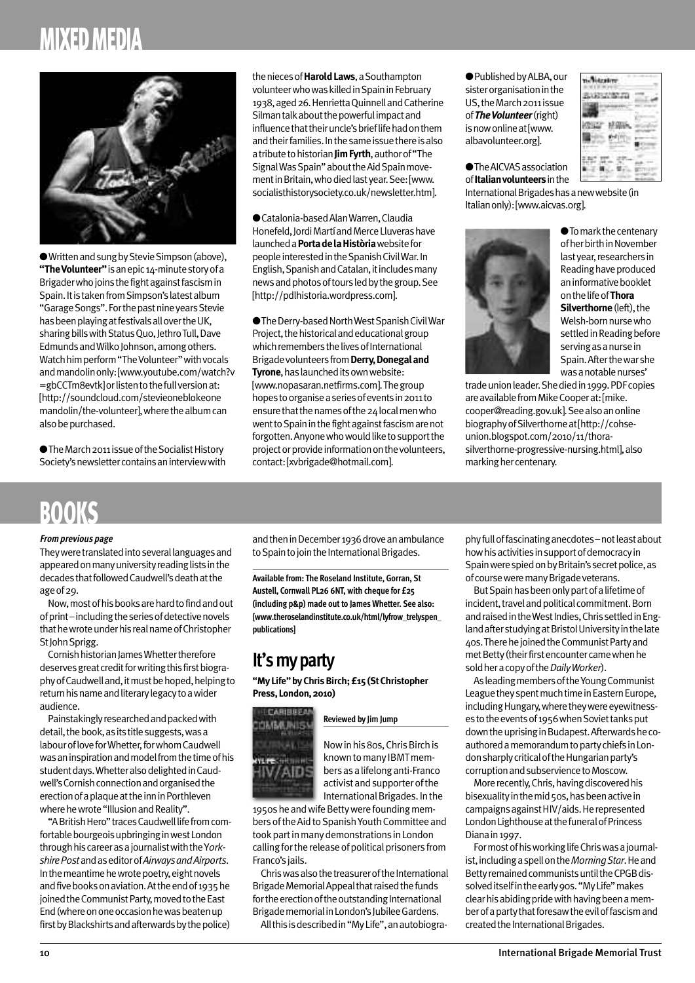## **MIXEDMEDIA**



● Written and sung by Stevie Simpson (above), **"TheVolunteer"**isanepic14-minutestoryofa Brigader who joins the fight against fascism in Spain. It is taken from Simpson's latest album "Garage Songs". For the past nine years Stevie has been playing at festivals all over the UK, sharing bills with Status Quo, Jethro Tull, Dave Edmunds and Wilko Johnson, among others. Watch him perform "The Volunteer" with vocals and mandolin only: [www.youtube.com/watch?v =gbCCTm8evtk]or listen to the full version at: [http://soundcloud.com/stevieoneblokeone mandolin/the-volunteer], where the album can also be purchased.

● The March 2011 issue of the Socialist History Society's newsletter contains an interview with theniecesof**HaroldLaws**,aSouthampton volunteer who was killed in Spain in February 1938,aged26.HenriettaQuinnellandCatherine Silman talk about the powerful impact and influence that their uncle's brief life had on them andtheirfamilies.Inthesameissuethereisalso a tribute to historian **Jim Fyrth**, author of "The Signal Was Spain" about the Aid Spain movementinBritain,whodiedlastyear.See:[www. socialisthistorysociety.co.uk/newsletter.htm].

**●**Catalonia-basedAlanWarren,Claudia Honefeld, Jordi Martí and Merce Lluveras have launcheda**PortadelaHistòria**websitefor peopleinterestedintheSpanishCivilWar.In English, Spanish and Catalan, it includes many news and photos of tours led by the group. See [http://pdlhistoria.wordpress.com].

● The Derry-based North West Spanish Civil War Project, the historical and educational group which remembers the lives of International Brigadevolunteersfrom**Derry,Donegaland Tyrone**, has launched its own website: [www.nopasaran.netfirms.com].Thegroup hopes to organise a series of events in 2011 to ensure that the names of the 24 local men who went to Spain in the fight against fascism are not forgotten. Anyone who would like to support the project or provide information on the volunteers, contact:[xvbrigade@hotmail.com].

● Published by ALBA, our sister organisation in the US, the March 2011 issue of*TheVolunteer*(right) isnowonlineat[www. albavolunteer.org].

**●**TheAICVASassociation of**Italianvolunteers**inthe



InternationalBrigadeshasanewwebsite(in Italianonly):[www.aicvas.org].



**●**Tomarkthecentenary ofherbirthinNovember last year, researchers in Reading have produced aninformativebooklet onthelifeof**Thora Silverthorne** (left), the Welsh-born nurse who settled in Reading before serving as a nurse in Spain.Afterthewarshe was a notable nurses'

trade union leader. She died in 1999. PDF copies are available from Mike Cooper at: [mike. cooper@reading.gov.uk].Seealsoanonline biographyofSilverthorneat[http://cohseunion.blogspot.com/2010/11/thorasilverthorne-progressive-nursing.html], also marking her centenary.

## **BOOKS**

#### **Fromprevious page**

They were translated into several languages and appeared on many university reading lists in the decadesthatfollowedCaudwell'sdeathatthe ageof29.

Now, most of his books are hard to find and out ofprint–includingtheseriesofdetectivenovels that he wrote under his real name of Christopher St John Sprigg.

CornishhistorianJamesWhettertherefore deserves great credit for writing this first biography of Caudwell and, it must be hoped, helping to returnhisnameandliterarylegacytoawider audience.

Painstakingly researched and packed with detail, the book, as its title suggests, was a labour of love for Whetter, for whom Caudwell was an inspiration and model from the time of his student days. Whetter also delighted in Caudwell's Cornish connection and organised the erectionofaplaqueattheinninPorthleven where he wrote "Illusion and Reality".

"A British Hero" traces Caudwell life from comfortable bourgeois upbringing in west London throughhiscareerasajournalistwiththeY*orkshirePost*andaseditorof*AirwaysandAirports*. In the meantime he wrote poetry, eight novels and five books on aviation. At the end of 1935 he joined the Communist Party, moved to the East End (where on one occasion he was beaten up first by Blackshirts and afterwards by the police) and then in December 1936 drove an ambulance to Spain to join the International Brigades.

**Available from: The Roseland Institute, Gorran, St Austell, Cornwall PL26 6NT, with cheque for £25 (including p&p) made out to James Whetter. See also: [www.theroselandinstitute.co.uk/html/lyfrow\_trelyspen\_ publications]**

### **It'smyparty**

**"MyLife"byChrisBirch;£15(StChristopher Press,London,2010)**



**Reviewed by Jim Jump**

Now in his 80s, Chris Birch is known to many IBMT membersasalifelonganti-Franco activist and supporter of the International Brigades. In the

1950s he and wife Betty were founding members of the Aid to Spanish Youth Committee and tookpartinmanydemonstrations inLondon calling for the release of political prisoners from Franco's jails.

Chris was also the treasurer of the International Brigade Memorial Appeal that raised the funds for the erection of the outstanding International Brigade memorial in London's Jubilee Gardens.

All this is described in "My Life", an autobiogra-

phy full of fascinating anecdotes-not least about howhisactivitiesinsupportofdemocracyin Spain were spied on by Britain's secret police, as ofcourseweremanyBrigadeveterans.

ButSpainhasbeenonlypartofalifetimeof incident, travel and political commitment. Born and raised in the West Indies, Chris settled in England after studying at Bristol University in the late 40s. There he joined the Communist Party and met Betty (their first encounter came when he sold her a copy of the *Daily Worker*).

As leading members of the Young Communist League they spent much time in Eastern Europe, including Hungary, where they were eyewitnesses to the events of 1956 when Soviet tanks put down the uprising in Budapest. Afterwards he coauthored a memorandum to party chiefs in London sharply critical of the Hungarian party's corruption and subservience to Moscow.

More recently, Chris, having discovered his bisexuality in the mid 50s, has been active in campaigns against HIV/aids. He represented London Lighthouse at the funeral of Princess Diana in 1997.

FormostofhisworkinglifeChriswasajournalist, including a spell on the *Morning Star*. He and Betty remained communists until the CPGB dissolved itself in the early 90s. "My Life" makes clear his abiding pride with having been a member of a party that foresaw the evil of fascism and created the International Brigades.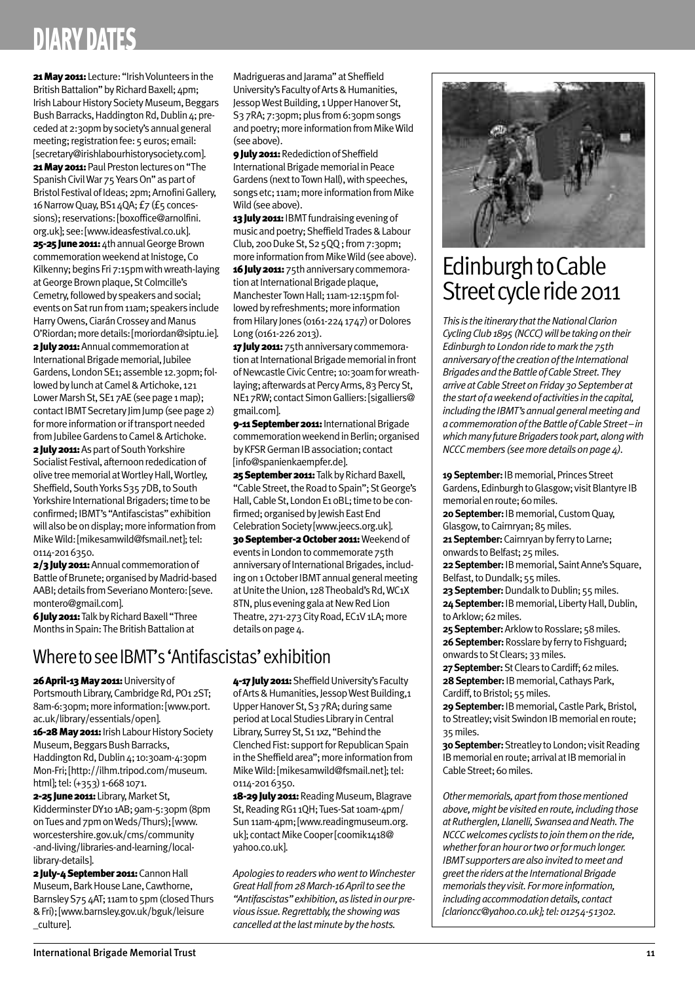## **DIARY DATES**

21 May 2011: Lecture: "Irish Volunteers in the British Battalion" by Richard Baxell; 4pm; Irish Labour History Society Museum, Beggars Bush Barracks, Haddington Rd, Dublin 4: preceded at 2:30pm by society's annual general meeting: registration fee: 5 euros: email: [secretary@irishlabourhistorysociety.com]. 21 May 2011: Paul Preston lectures on "The Spanish Civil War 75 Years On" as part of Bristol Festival of Ideas; 2pm; Arnofini Gallery, 16 Narrow Quay, BS1 4QA; £7 (£5 concessions): reservations: [boxoffice@arnolfini. org.uk]; see:[www.ideasfestival.co.uk]. 25-25 June 2011: 4th annual George Brown commemoration weekend at Inistoge, Co Kilkenny; begins Fri 7:15pm with wreath-laying at George Brown plaque, St Colmcille's Cemetry, followed by speakers and social;

events on Sat run from 11am; speakers include Harry Owens, Ciarán Crossey and Manus O'Riordan;moredetails:[moriordan@siptu.ie]. 2 **July 2011:** Annual commemoration at

International Brigade memorial, Jubilee Gardens, London SE1; assemble 12.30pm; followed by lunch at Camel & Artichoke, 121 Lower Marsh St, SE17AE (see page 1 map); contact IBMT Secretary Jim Jump (see page 2) for more information or if transport needed from Jubilee Gardens to Camel & Artichoke.

2 **July 2011:** As part of South Yorkshire Socialist Festival, afternoon rededication of olive tree memorial at Wortley Hall, Wortley, Sheffield, South Yorks S35 7DB, to South Yorkshire International Brigaders; time to be confirmed; IBMT's "Antifascistas" exhibition will also be on display; more information from Mike Wild: [mikesamwild@fsmail.net]: tel: 0114-2016350.

2/3 July 2011: Annual commemoration of BattleofBrunete;organisedbyMadrid-based AABI; details from Severiano Montero: [seve. montero@gmail.com].

6 **July 2011:** Talk by Richard Baxell "Three Months in Spain: The British Battalion at

Madrigueras and Jarama" at Sheffield University's Faculty of Arts & Humanities, Jessop West Building, 1 Upper Hanover St, S37RA; 7:30pm; plus from 6:30pm songs and poetry; more information from Mike Wild (seeabove). **9 July 2011: Redediction of Sheffield** 

International Brigade memorial in Peace Gardens (next to Town Hall), with speeches, songs etc; 11am; more information from Mike Wild (see above).

13 July 2011: IBMT fundraising evening of music and poetry; Sheffield Trades & Labour Club, 200 Duke St, S2 5QQ; from 7:30pm; more information from Mike Wild (see above). 16 July 2011: 75th anniversary commemoration at International Brigade plaque, Manchester Town Hall; 11am-12:15pm followed by refreshments; more information from Hilary Jones (0161-224 1747) or Dolores Long(0161-2262013).

17 **July 2011:** 75th anniversary commemoration at International Brigade memorial in front of Newcastle Civic Centre; 10:30am for wreathlaying; afterwards at Percy Arms, 83 Percy St, NE17RW; contact Simon Galliers: [sigalliers@ gmail.com].

9-11 September 2011: International Brigade commemoration weekend in Berlin: organised by KFSR German IB association; contact [info@spanienkaempfer.de].

25 September 2011: Talk by Richard Baxell, "Cable Street, the Road to Spain"; St George's Hall, Cable St, London E1 oBL; time to be confirmed; organised by Jewish East End Celebration Society [www.jeecs.org.uk].

30 September-2 October 2011: Weekend of events in London to commemorate 75th anniversary of International Brigades, including on 1 October IBMT annual general meeting at Unite the Union, 128 Theobald's Rd, WC1X 8TN, plus evening gala at New Red Lion Theatre, 271-273 City Road, EC1V 1LA; more details on page 4.

## Where to see IBMT's 'Antifascistas' exhibition

**26April-13May2011:**Universityof Portsmouth Library, Cambridge Rd, PO1 2ST; 8am-6:30pm; more information: [www.port. ac.uk/library/essentials/open]. 16-28 May 2011: Irish Labour History Society Museum, Beggars Bush Barracks, Haddington Rd, Dublin 4; 10:30am-4:30pm Mon-Fri;[http://ilhm.tripod.com/museum. html]; tel: (+353) 1-668 1071.

2-25 June 2011: Library, Market St, Kidderminster DY101AB; 9am-5:30pm (8pm on Tues and 7pm on Weds/Thurs); [www. worcestershire.gov.uk/cms/community -and-living/libraries-and-learning/locallibrary-details].

2 **July-4 September 2011:** Cannon Hall Museum, Bark House Lane, Cawthorne, Barnsley S75 4AT; 11am to 5pm (closed Thurs &Fri);[www.barnsley.gov.uk/bguk/leisure \_culture].

4-17 **July 2011:** Sheffield University's Faculty of Arts & Humanities, Jessop West Building,1 Upper Hanover St, S<sub>3</sub>7RA; during same period at Local Studies Library in Central Library, Surrey St, S<sub>1</sub> 1xz, "Behind the Clenched Fist: support for Republican Spain in the Sheffield area": more information from Mike Wild: [mikesamwild@fsmail.net]: tel: 0114-2016350.

18-29 July 2011: Reading Museum, Blagrave St, Reading RG1 1QH; Tues-Sat 10am-4pm/ Sun 11am-4pm; [www.readingmuseum.org. uk]; contact Mike Cooper[coomik1418@ yahoo.co.uk].

*Apologies toreaderswhowenttoWinchester GreatHallfrom28March-16Apriltoseethe "Antifascistas"exhibition,as listedinourprevious issue.Regrettably,theshowingwas cancelled at the last minute by the hosts.* 



## Edinburgh to Cable Street cycle ride 2011

**This** is the *itinerary* that the National Clarion Cycling Club 1895 (NCCC) will be taking on their *EdinburghtoLondonridetomarkthe75th anniversary of the creation of the International BrigadesandtheBattleofCableStreet.They arriveatCableStreetonFriday30Septemberat thestartofaweekendofactivities inthecapital,* including the IBMT's annual general meeting and *acommemorationoftheBattleofCableStreet–in whichmanyfutureBrigaders tookpart,alongwith NCCC members* (see more details on page 4).

**19 September: IB memorial, Princes Street** Gardens, Edinburgh to Glasgow; visit Blantyre IB memorial en route; 60 miles.

**20 September: IB memorial, Custom Quay,** Glasgow, to Cairnryan; 85 miles.

**21 September:** Cairnryan by ferry to Larne; onwards to Belfast; 25 miles.

22 September: IB memorial, Saint Anne's Square, Belfast, to Dundalk; 55 miles.

23 September: Dundalk to Dublin; 55 miles. 24 September: IB memorial, Liberty Hall, Dublin, to Arklow; 62 miles.

**25 September:** Arklow to Rosslare; 58 miles. **26 September:** Rosslare by ferry to Fishguard; onwards to St Clears; 33 miles.

**27 September:** St Clears to Cardiff; 62 miles. 28 September: IB memorial, Cathays Park, Cardiff, to Bristol; 55 miles.

29 September: IB memorial, Castle Park, Bristol, to Streatley; visit Swindon IB memorial en route; 35miles.

**30 September:** Streatley to London; visit Reading IB memorial en route; arrival at IB memorial in Cable Street: 60 miles.

*Othermemorials,apartfromthosementioned above,mightbevisitedenroute,includingthose atRutherglen,Llanelli,SwanseaandNeath.The NCCCwelcomes cyclists tojointhemontheride, whetherforanhourortwoorformuchlonger. IBMT* supporters are also invited to meet and *greet the riders at the International Brigade memorials theyvisit. Formoreinformation, includingaccommodationdetails, contact [clarioncc@yahoo.co.uk];tel:01254-51302.*